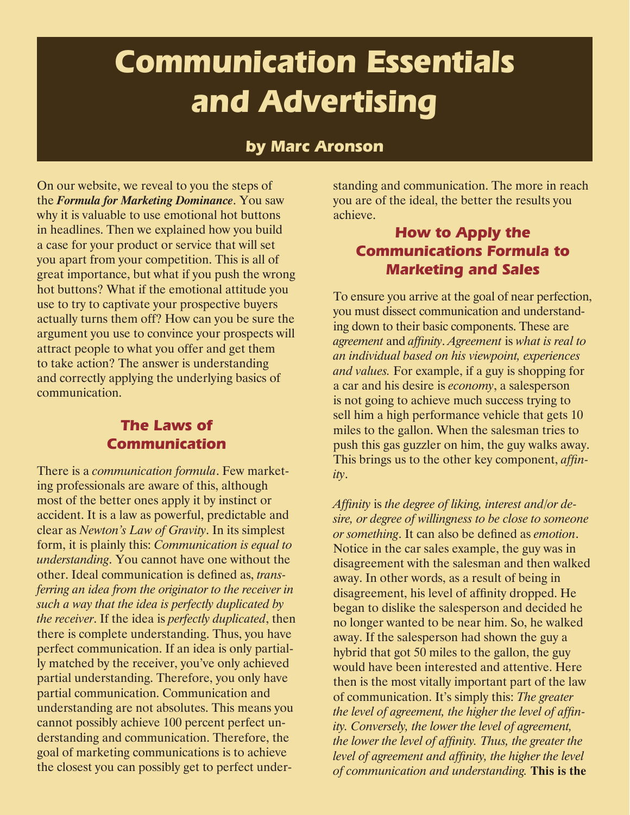# **Communication Essentials and Advertising**

#### **by Marc Aronson**

On our website, we reveal to you the steps of the *Formula for Marketing Dominance*. You saw why it is valuable to use emotional hot buttons in headlines. Then we explained how you build a case for your product or service that will set you apart from your competition. This is all of great importance, but what if you push the wrong hot buttons? What if the emotional attitude you use to try to captivate your prospective buyers actually turns them off? How can you be sure the argument you use to convince your prospects will attract people to what you offer and get them to take action? The answer is understanding and correctly applying the underlying basics of communication.

#### **The Laws of Communication**

There is a *communication formula*. Few marketing professionals are aware of this, although most of the better ones apply it by instinct or accident. It is a law as powerful, predictable and clear as *Newton's Law of Gravity*. In its simplest form, it is plainly this: *Communication is equal to understanding*. You cannot have one without the other. Ideal communication is defined as, *transferring an idea from the originator to the receiver in such a way that the idea is perfectly duplicated by the receiver*. If the idea is *perfectly duplicated*, then there is complete understanding. Thus, you have perfect communication. If an idea is only partially matched by the receiver, you've only achieved partial understanding. Therefore, you only have partial communication. Communication and understanding are not absolutes. This means you cannot possibly achieve 100 percent perfect understanding and communication. Therefore, the goal of marketing communications is to achieve the closest you can possibly get to perfect under-

standing and communication. The more in reach you are of the ideal, the better the results you achieve.

## **How to Apply the Communications Formula to Marketing and Sales**

To ensure you arrive at the goal of near perfection, you must dissect communication and understanding down to their basic components. These are *agreement* and *affinity*. *Agreement* is *what is real to an individual based on his viewpoint, experiences and values.* For example, if a guy is shopping for a car and his desire is *economy*, a salesperson is not going to achieve much success trying to sell him a high performance vehicle that gets 10 miles to the gallon. When the salesman tries to push this gas guzzler on him, the guy walks away. This brings us to the other key component, *affinity*.

*Affinity* is *the degree of liking, interest and/or desire, or degree of willingness to be close to someone or something*. It can also be defined as *emotion*. Notice in the car sales example, the guy was in disagreement with the salesman and then walked away. In other words, as a result of being in disagreement, his level of affinity dropped. He began to dislike the salesperson and decided he no longer wanted to be near him. So, he walked away. If the salesperson had shown the guy a hybrid that got 50 miles to the gallon, the guy would have been interested and attentive. Here then is the most vitally important part of the law of communication. It's simply this: *The greater the level of agreement, the higher the level of affinity. Conversely, the lower the level of agreement, the lower the level of affinity. Thus, the greater the level of agreement and affinity, the higher the level of communication and understanding.* **This is the**